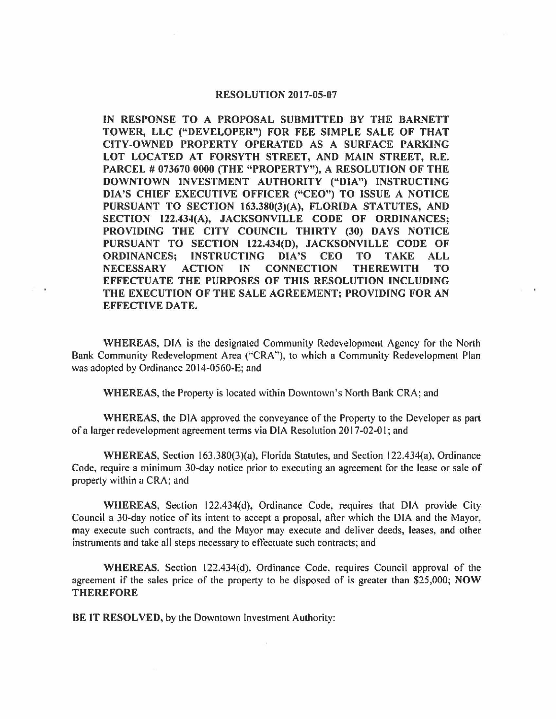## **RESOLUTION 2017-05-07**

**IN RESPONSE TO A PROPOSAL SUBMITTED BY THE BARNETT TOWER, LLC ("DEVELOPER") FOR FEE SIMPLE SALE OF THAT CITY-OWNED PROPERTY OPERATED AS A SURFACE PARKING LOT LOCATED AT FORSYTH STREET, AND MAIN STREET, R.E.**  PARCEL # 073670 0000 (THE "PROPERTY"), A RESOLUTION OF THE **DOWNTOWN INVESTMENT AUTHORITY ("DIA") INSTRUCTING DIA'S CHIEF EXECUTIVE OFFICER ("CEO") TO ISSUE A NOTICE PURSUANT TO SECTION 163.380(3)(A), FLORIDA STATUTES, AND SECTION 122.434(A), JACKSONVILLE CODE OF ORDINANCES; PROVIDING THE CITY COUNCIL THIRTY (30) DAYS NOTICE PURSUANT TO SECTION 122.434(D), JACKSONVILLE CODE OF ORDINANCES; INSTRUCTING DIA'S CEO TO TAKE ALL NECESSARY ACTION IN CONNECTION THEREWITH TO EFFECTUATE THE PURPOSES OF THIS RESOLUTION INCLUDING**  THE EXECUTION OF THE SALE AGREEMENT; PROVIDING FOR AN **EFFECTIVE DATE.** 

**WHEREAS,** DIA is the designated Community Redevelopment Agency for the North Bank Community Redevelopment Area ("CRA"), to which a Community Redevelopment Plan was adopted by Ordinance 2014-0560-E; and

**WHEREAS,** the Property is located within Downtown's North Bank CRA; and

**WHEREAS,** the DIA approved the conveyance of the Property to the Developer as part of a larger redevelopment agreement terms via DIA Resolution 2017-02-0 I; and

WHEREAS, Section 163.380(3)(a), Florida Statutes, and Section 122.434(a), Ordinance Code, require a minimum 30-day notice prior to executing an agreement for the lease or sale of property within a CRA; and

**WHEREAS,** Section 122.434(d), Ordinance Code, requires that DIA provide City Council a 30-day notice of its intent to accept a proposal, after which the DIA and the Mayor, may execute such contracts, and the Mayor may execute and deliver deeds, leases, and other instruments and take all steps necessary to effectuate such contracts; and

**WHEREAS,** Section 122.434(d), Ordinance Code, requires Council approval of the agreement if the sales price of the property to be disposed of is greater than \$25,000; **NOW THEREFORE** 

BE **IT RESOLVED,** by the Downtown Investment Authority: